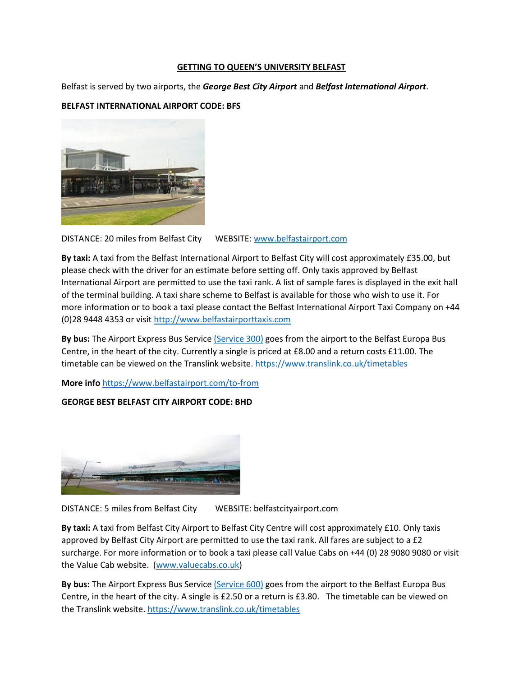## **GETTING TO QUEEN'S UNIVERSITY BELFAST**

Belfast is served by two airports, the *George Best City Airport* and *Belfast International Airport*.

## **BELFAST INTERNATIONAL AIRPORT CODE: BFS**



DISTANCE: 20 miles from Belfast City WEBSITE: [www.belfastairport.com](http://www.belfastairport.com/)

**By taxi:** A taxi from the Belfast International Airport to Belfast City will cost approximately £35.00, but please check with the driver for an estimate before setting off. Only taxis approved by Belfast International Airport are permitted to use the taxi rank. A list of sample fares is displayed in the exit hall of the terminal building. A taxi share scheme to Belfast is available for those who wish to use it. For more information or to book a taxi please contact the Belfast International Airport Taxi Company on +44 (0)28 9448 4353 or visit [http://www.belfastairporttaxis.com](http://www.belfastairporttaxis.com/)

**By bus:** The Airport Express Bus Servic[e \(Service 300\)](https://bustimes.org/services/300-belfast-europa-buscentre-international-airport) goes from the airport to the Belfast Europa Bus Centre, in the heart of the city. Currently a single is priced at £8.00 and a return costs £11.00. The timetable can be viewed on the Translink website.<https://www.translink.co.uk/timetables>

**More info** <https://www.belfastairport.com/to-from>

## **GEORGE BEST BELFAST CITY AIRPORT CODE: BHD**



DISTANCE: 5 miles from Belfast City WEBSITE: belfastcityairport.com

**By taxi:** A taxi from Belfast City Airport to Belfast City Centre will cost approximately £10. Only taxis approved by Belfast City Airport are permitted to use the taxi rank. All fares are subject to a £2 surcharge. For more information or to book a taxi please call Value Cabs on +44 (0) 28 9080 9080 or visit the Value Cab website. [\(www.valuecabs.co.uk\)](www.valuecabs.co.uk)

**By bus:** The Airport Express Bus Servic[e \(Service 600\)](http://www.belfastcityairport.com/To-From-the-Airport) goes from the airport to the Belfast Europa Bus Centre, in the heart of the city. A single is £2.50 or a return is £3.80. The timetable can be viewed on the Translink website[. https://www.translink.co.uk/timetables](https://www.translink.co.uk/timetables)